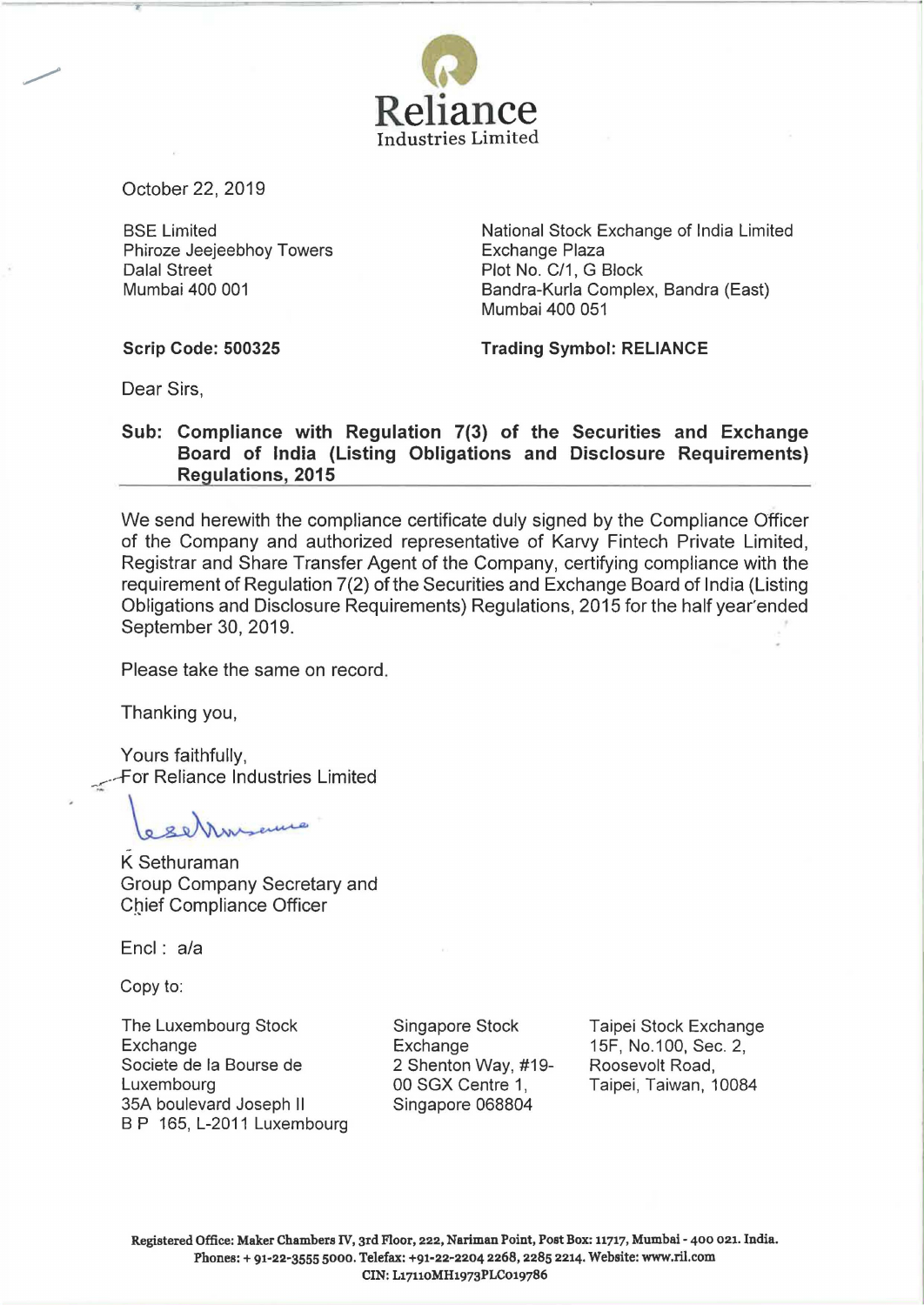

October 22, 2019

T

BSE Limited Phiroze Jeejeebhoy Towers Dalal Street Mumbai 400 001

National Stock Exchange of India Limited Exchange Plaza Plot No. C/1, G Block Bandra-Kurla Complex, Bandra (East) Mumbai 400 051

**Scrip Code: 500325** 

**Trading Symbol: RELIANCE** 

Dear Sirs,

## **Sub: Compliance with Regulation 7(3) of the Securities and Exchange Board of India (Listing Obligations and Disclosure Requirements) Regulations, 2015**

We send herewith the compliance certificate duly signed by the Compliance Officer of the Company and authorized representative of Karvy Fintech Private Limited, Registrar and Share Transfer Agent of the Company, certifying compliance with the requirement of Regulation 7(2) of the Securities and Exchange Board of India (Listing Obligations and Disclosure Requirements) Regulations, 2015 for the half year' ended September 30, 2019.

Please take the same on record.

Thanking you,

Yours faithfully, For Reliance Industries Limited reliance Industries<br>The Sethuraman<br>Controller Controller<br>Controller<br>Sethuraman<br>Controller

K - Group Company Secretary and Cbief Compliance Officer

Encl: a/a

Copy to:

The Luxembourg Stock Exchange Societe de Ia Bourse de Luxembourg 35A boulevard Joseph II B P 165, L-2011 Luxembourg Singapore Stock **Exchange** 2 Shenton Way, #19- 00 SGX Centre 1, Singapore 068804

Taipei Stock Exchange 15F, No.1 00, Sec. 2, Roosevelt Road, Taipei, Taiwan, 10084

Registered Office: Maker Chambers IV, 3rd Floor, 222, Nariman Point, Post Box: 11717, Mumbai- 400 021. India. Phones:+ 91-22-3555 5000. Telefax: +91-22-2204 2268, 2285 2214. Website: www.ril.com CIN: L17110MH1973PLC019786